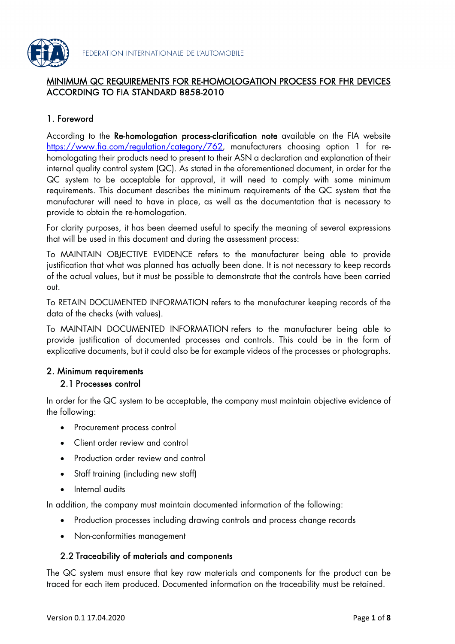

## MINIMUM QC REQUIREMENTS FOR RE-HOMOLOGATION PROCESS FOR FHR DEVICES ACCORDING TO FIA STANDARD 8858-2010

# 1. Foreword

According to the Re-homologation process-clarification note available on the FIA website <https://www.fia.com/regulation/category/762>, manufacturers choosing option 1 for rehomologating their products need to present to their ASN a declaration and explanation of their internal quality control system (QC). As stated in the aforementioned document, in order for the QC system to be acceptable for approval, it will need to comply with some minimum requirements. This document describes the minimum requirements of the QC system that the manufacturer will need to have in place, as well as the documentation that is necessary to provide to obtain the re-homologation.

For clarity purposes, it has been deemed useful to specify the meaning of several expressions that will be used in this document and during the assessment process:

To MAINTAIN OBJECTIVE EVIDENCE refers to the manufacturer being able to provide justification that what was planned has actually been done. It is not necessary to keep records of the actual values, but it must be possible to demonstrate that the controls have been carried out.

To RETAIN DOCUMENTED INFORMATION refers to the manufacturer keeping records of the data of the checks (with values).

To MAINTAIN DOCUMENTED INFORMATION refers to the manufacturer being able to provide justification of documented processes and controls. This could be in the form of explicative documents, but it could also be for example videos of the processes or photographs.

## 2. Minimum requirements

### 2.1 Processes control

In order for the QC system to be acceptable, the company must maintain objective evidence of the following:

- Procurement process control
- Client order review and control
- Production order review and control
- Staff training (including new staff)
- Internal audits

In addition, the company must maintain documented information of the following:

- Production processes including drawing controls and process change records
- Non-conformities management

## 2.2 Traceability of materials and components

The QC system must ensure that key raw materials and components for the product can be traced for each item produced. Documented information on the traceability must be retained.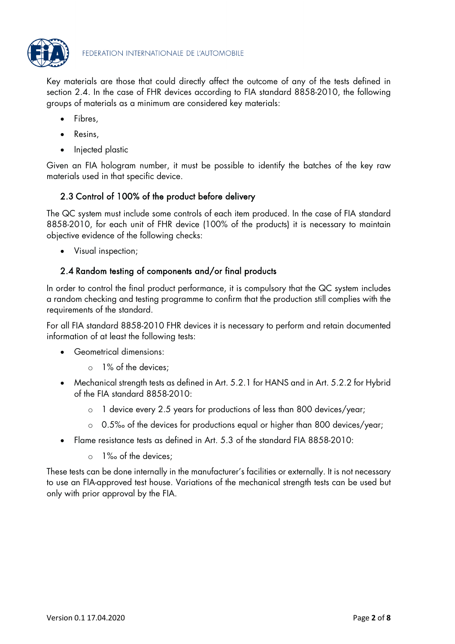

Key materials are those that could directly affect the outcome of any of the tests defined in section 2.4. In the case of FHR devices according to FIA standard 8858-2010, the following groups of materials as a minimum are considered key materials:

- Fibres,
- Resins,
- Injected plastic

Given an FIA hologram number, it must be possible to identify the batches of the key raw materials used in that specific device.

# 2.3 Control of 100% of the product before delivery

The QC system must include some controls of each item produced. In the case of FIA standard 8858-2010, for each unit of FHR device (100% of the products) it is necessary to maintain objective evidence of the following checks:

• Visual inspection;

## 2.4 Random testing of components and/or final products

In order to control the final product performance, it is compulsory that the QC system includes a random checking and testing programme to confirm that the production still complies with the requirements of the standard.

For all FIA standard 8858-2010 FHR devices it is necessary to perform and retain documented information of at least the following tests:

- Geometrical dimensions:
	- o 1% of the devices;
- Mechanical strength tests as defined in Art. 5.2.1 for HANS and in Art. 5.2.2 for Hybrid of the FIA standard 8858-2010:
	- o 1 device every 2.5 years for productions of less than 800 devices/year;
	- o 0.5‰ of the devices for productions equal or higher than 800 devices/year;
- Flame resistance tests as defined in Art. 5.3 of the standard FIA 8858-2010:
	- o 1‰ of the devices;

These tests can be done internally in the manufacturer's facilities or externally. It is not necessary to use an FIA-approved test house. Variations of the mechanical strength tests can be used but only with prior approval by the FIA.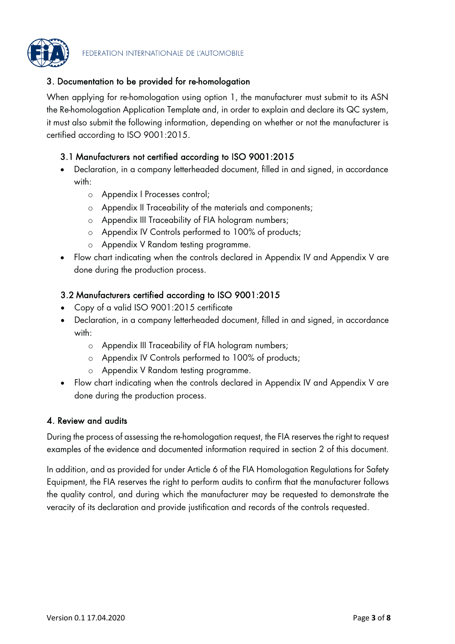

## 3. Documentation to be provided for re-homologation

When applying for re-homologation using option 1, the manufacturer must submit to its ASN the Re-homologation Application Template and, in order to explain and declare its QC system, it must also submit the following information, depending on whether or not the manufacturer is certified according to ISO 9001:2015.

### 3.1 Manufacturers not certified according to ISO 9001:2015

- Declaration, in a company letterheaded document, filled in and signed, in accordance with:
	- o Appendix I Processes control;
	- o Appendix II Traceability of the materials and components;
	- o Appendix III Traceability of FIA hologram numbers;
	- o Appendix IV Controls performed to 100% of products;
	- o Appendix V Random testing programme.
- Flow chart indicating when the controls declared in Appendix IV and Appendix V are done during the production process.

### 3.2 Manufacturers certified according to ISO 9001:2015

- Copy of a valid ISO 9001:2015 certificate
- Declaration, in a company letterheaded document, filled in and signed, in accordance with:
	- o Appendix III Traceability of FIA hologram numbers;
	- o Appendix IV Controls performed to 100% of products;
	- o Appendix V Random testing programme.
- Flow chart indicating when the controls declared in Appendix IV and Appendix V are done during the production process.

### 4. Review and audits

During the process of assessing the re-homologation request, the FIA reserves the right to request examples of the evidence and documented information required in section 2 of this document.

In addition, and as provided for under Article 6 of the FIA Homologation Regulations for Safety Equipment, the FIA reserves the right to perform audits to confirm that the manufacturer follows the quality control, and during which the manufacturer may be requested to demonstrate the veracity of its declaration and provide justification and records of the controls requested.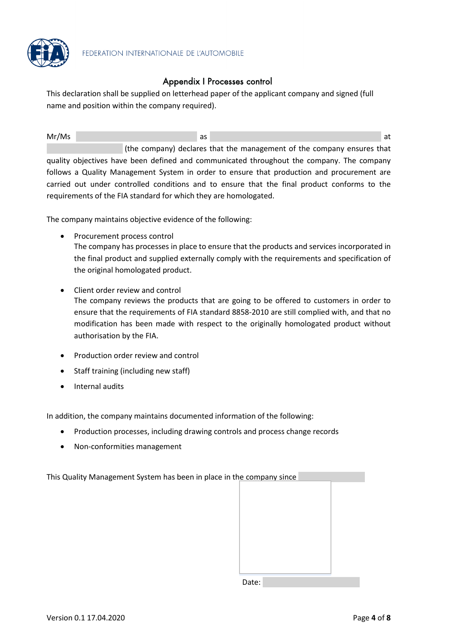

## Appendix I Processes control

This declaration shall be supplied on letterhead paper of the applicant company and signed (full name and position within the company required).

Mr/Ms and the contract of the contract of the contract of the contract of the contract of the contract of the contract of the contract of the contract of the contract of the contract of the contract of the contract of the (the company) declares that the management of the company ensures that quality objectives have been defined and communicated throughout the company. The company follows a Quality Management System in order to ensure that production and procurement are carried out under controlled conditions and to ensure that the final product conforms to the requirements of the FIA standard for which they are homologated.

The company maintains objective evidence of the following:

- Procurement process control The company has processes in place to ensure that the products and services incorporated in the final product and supplied externally comply with the requirements and specification of the original homologated product.
- Client order review and control The company reviews the products that are going to be offered to customers in order to ensure that the requirements of FIA standard 8858-2010 are still complied with, and that no modification has been made with respect to the originally homologated product without authorisation by the FIA.
- Production order review and control
- Staff training (including new staff)
- Internal audits

In addition, the company maintains documented information of the following:

- Production processes, including drawing controls and process change records
- Non-conformities management

This Quality Management System has been in place in th

| he company since |  |
|------------------|--|
|                  |  |
|                  |  |
|                  |  |
|                  |  |
|                  |  |
|                  |  |
|                  |  |
|                  |  |
|                  |  |
| Date:            |  |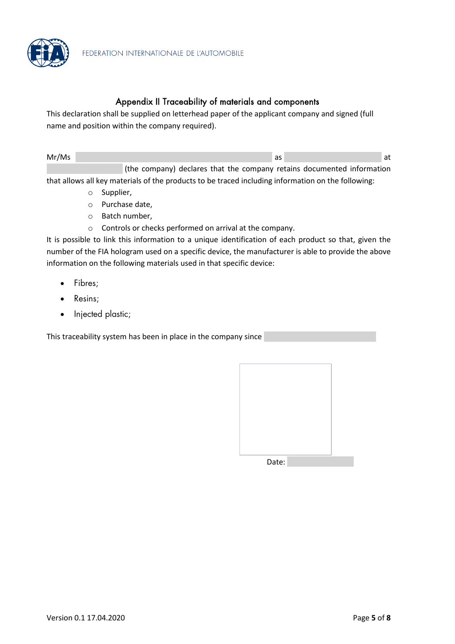

### Appendix II Traceability of materials and components

This declaration shall be supplied on letterhead paper of the applicant company and signed (full name and position within the company required).

| Mr/Ms |                                                                        |  |  |  |
|-------|------------------------------------------------------------------------|--|--|--|
|       | (the company) declares that the company retains documented information |  |  |  |

that allows all key materials of the products to be traced including information on the following:

- o Supplier,
- o Purchase date,
- o Batch number,
- o Controls or checks performed on arrival at the company.

It is possible to link this information to a unique identification of each product so that, given the number of the FIA hologram used on a specific device, the manufacturer is able to provide the above information on the following materials used in that specific device:

- Fibres;
- Resins;
- Injected plastic;

This traceability system has been in place in the company since

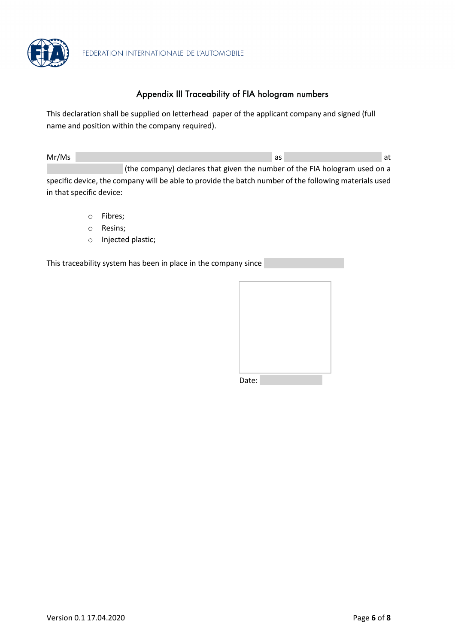

## Appendix III Traceability of FIA hologram numbers

This declaration shall be supplied on letterhead paper of the applicant company and signed (full name and position within the company required).

| Mr/Ms |                                                                                                       | as | at |
|-------|-------------------------------------------------------------------------------------------------------|----|----|
|       | (the company) declares that given the number of the FIA hologram used on a                            |    |    |
|       | specific device, the company will be able to provide the batch number of the following materials used |    |    |

specific device, the company will be able to provide the batch number of the following materials used in that specific device:

- o Fibres;
- o Resins;
- o Injected plastic;

This traceability system has been in place in the company since

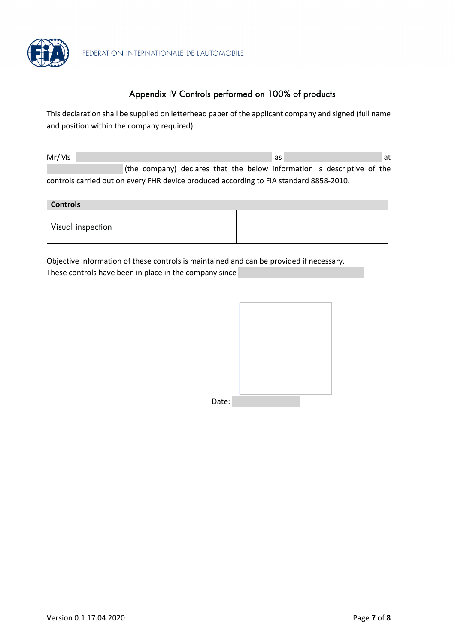

# Appendix IV Controls performed on 100% of products

This declaration shall be supplied on letterhead paper of the applicant company and signed (full name and position within the company required).

| Mr/Ms |                                                                                        |  |  |  | as                                                                      |  | at |
|-------|----------------------------------------------------------------------------------------|--|--|--|-------------------------------------------------------------------------|--|----|
|       |                                                                                        |  |  |  | (the company) declares that the below information is descriptive of the |  |    |
|       | controls carried out on every FHR device produced according to FIA standard 8858-2010. |  |  |  |                                                                         |  |    |

| <b>Controls</b>   |  |
|-------------------|--|
| Visual inspection |  |

Objective information of these controls is maintained and can be provided if necessary. These controls have been in place in the company since